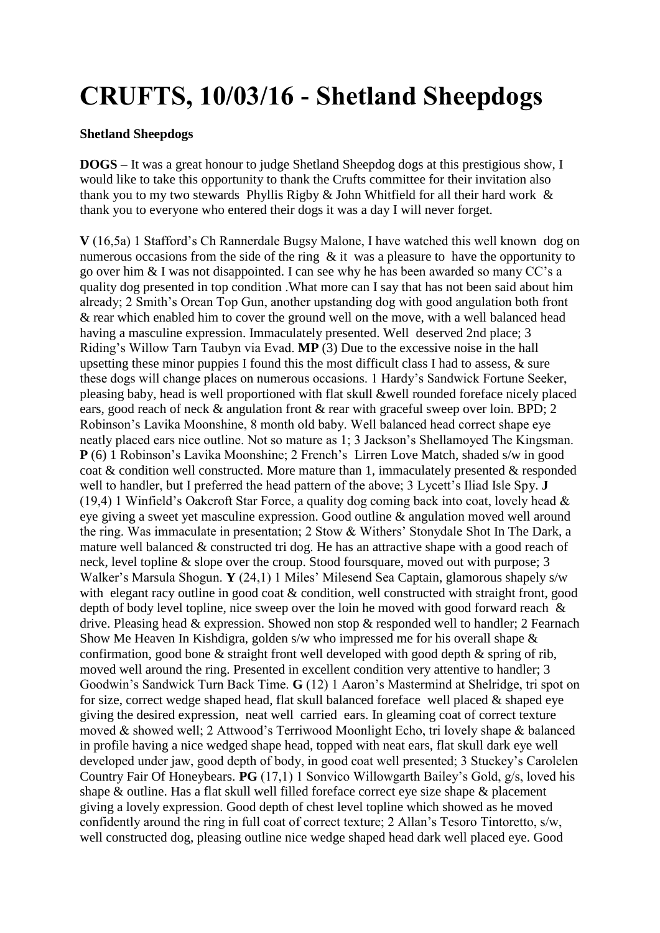## **CRUFTS, 10/03/16 - Shetland Sheepdogs**

## **Shetland Sheepdogs**

**DOGS –** It was a great honour to judge Shetland Sheepdog dogs at this prestigious show, I would like to take this opportunity to thank the Crufts committee for their invitation also thank you to my two stewards Phyllis Rigby & John Whitfield for all their hard work & thank you to everyone who entered their dogs it was a day I will never forget.

**V** (16,5a) 1 Stafford's Ch Rannerdale Bugsy Malone, I have watched this well known dog on numerous occasions from the side of the ring & it was a pleasure to have the opportunity to go over him & I was not disappointed. I can see why he has been awarded so many CC's a quality dog presented in top condition .What more can I say that has not been said about him already; 2 Smith's Orean Top Gun, another upstanding dog with good angulation both front & rear which enabled him to cover the ground well on the move, with a well balanced head having a masculine expression. Immaculately presented. Well deserved 2nd place; 3 Riding's Willow Tarn Taubyn via Evad. **MP** (3) Due to the excessive noise in the hall upsetting these minor puppies I found this the most difficult class I had to assess,  $\&$  sure these dogs will change places on numerous occasions. 1 Hardy's Sandwick Fortune Seeker, pleasing baby, head is well proportioned with flat skull &well rounded foreface nicely placed ears, good reach of neck & angulation front & rear with graceful sweep over loin. BPD; 2 Robinson's Lavika Moonshine, 8 month old baby. Well balanced head correct shape eye neatly placed ears nice outline. Not so mature as 1; 3 Jackson's Shellamoyed The Kingsman. **P** (6) 1 Robinson's Lavika Moonshine; 2 French's Lirren Love Match, shaded s/w in good coat & condition well constructed. More mature than 1, immaculately presented & responded well to handler, but I preferred the head pattern of the above; 3 Lycett's Iliad Isle Spy. **J** (19,4) 1 Winfield's Oakcroft Star Force, a quality dog coming back into coat, lovely head & eye giving a sweet yet masculine expression. Good outline & angulation moved well around the ring. Was immaculate in presentation; 2 Stow & Withers' Stonydale Shot In The Dark, a mature well balanced & constructed tri dog. He has an attractive shape with a good reach of neck, level topline & slope over the croup. Stood foursquare, moved out with purpose; 3 Walker's Marsula Shogun. **Y** (24,1) 1 Miles' Milesend Sea Captain, glamorous shapely s/w with elegant racy outline in good coat & condition, well constructed with straight front, good depth of body level topline, nice sweep over the loin he moved with good forward reach & drive. Pleasing head & expression. Showed non stop & responded well to handler; 2 Fearnach Show Me Heaven In Kishdigra, golden s/w who impressed me for his overall shape & confirmation, good bone & straight front well developed with good depth & spring of rib, moved well around the ring. Presented in excellent condition very attentive to handler; 3 Goodwin's Sandwick Turn Back Time. **G** (12) 1 Aaron's Mastermind at Shelridge, tri spot on for size, correct wedge shaped head, flat skull balanced foreface well placed & shaped eye giving the desired expression, neat well carried ears. In gleaming coat of correct texture moved & showed well; 2 Attwood's Terriwood Moonlight Echo, tri lovely shape & balanced in profile having a nice wedged shape head, topped with neat ears, flat skull dark eye well developed under jaw, good depth of body, in good coat well presented; 3 Stuckey's Carolelen Country Fair Of Honeybears. **PG** (17,1) 1 Sonvico Willowgarth Bailey's Gold, g/s, loved his shape & outline. Has a flat skull well filled foreface correct eye size shape & placement giving a lovely expression. Good depth of chest level topline which showed as he moved confidently around the ring in full coat of correct texture; 2 Allan's Tesoro Tintoretto, s/w, well constructed dog, pleasing outline nice wedge shaped head dark well placed eye. Good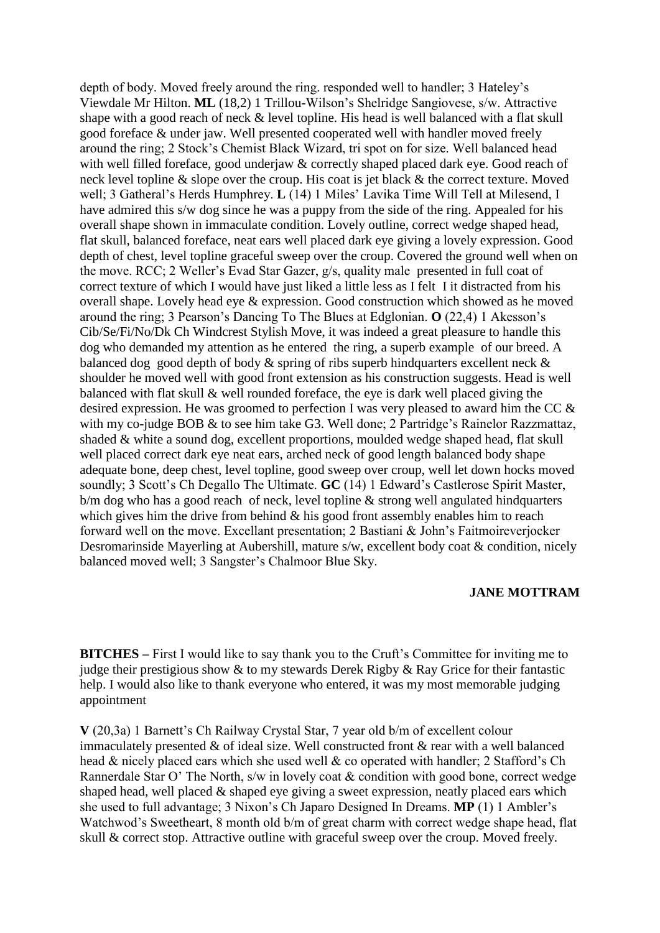depth of body. Moved freely around the ring. responded well to handler; 3 Hateley's Viewdale Mr Hilton. **ML** (18,2) 1 Trillou-Wilson's Shelridge Sangiovese, s/w. Attractive shape with a good reach of neck & level topline. His head is well balanced with a flat skull good foreface & under jaw. Well presented cooperated well with handler moved freely around the ring; 2 Stock's Chemist Black Wizard, tri spot on for size. Well balanced head with well filled foreface, good underjaw & correctly shaped placed dark eye. Good reach of neck level topline & slope over the croup. His coat is jet black & the correct texture. Moved well; 3 Gatheral's Herds Humphrey. **L** (14) 1 Miles' Lavika Time Will Tell at Milesend, I have admired this s/w dog since he was a puppy from the side of the ring. Appealed for his overall shape shown in immaculate condition. Lovely outline, correct wedge shaped head, flat skull, balanced foreface, neat ears well placed dark eye giving a lovely expression. Good depth of chest, level topline graceful sweep over the croup. Covered the ground well when on the move. RCC; 2 Weller's Evad Star Gazer, g/s, quality male presented in full coat of correct texture of which I would have just liked a little less as I felt I it distracted from his overall shape. Lovely head eye & expression. Good construction which showed as he moved around the ring; 3 Pearson's Dancing To The Blues at Edglonian. **O** (22,4) 1 Akesson's Cib/Se/Fi/No/Dk Ch Windcrest Stylish Move, it was indeed a great pleasure to handle this dog who demanded my attention as he entered the ring, a superb example of our breed. A balanced dog good depth of body  $\&$  spring of ribs superb hindquarters excellent neck  $\&$ shoulder he moved well with good front extension as his construction suggests. Head is well balanced with flat skull & well rounded foreface, the eye is dark well placed giving the desired expression. He was groomed to perfection I was very pleased to award him the CC & with my co-judge BOB & to see him take G3. Well done; 2 Partridge's Rainelor Razzmattaz, shaded & white a sound dog, excellent proportions, moulded wedge shaped head, flat skull well placed correct dark eye neat ears, arched neck of good length balanced body shape adequate bone, deep chest, level topline, good sweep over croup, well let down hocks moved soundly; 3 Scott's Ch Degallo The Ultimate. **GC** (14) 1 Edward's Castlerose Spirit Master, b/m dog who has a good reach of neck, level topline & strong well angulated hindquarters which gives him the drive from behind & his good front assembly enables him to reach forward well on the move. Excellant presentation; 2 Bastiani & John's Faitmoireverjocker Desromarinside Mayerling at Aubershill, mature s/w, excellent body coat & condition, nicely balanced moved well; 3 Sangster's Chalmoor Blue Sky.

## **JANE MOTTRAM**

**BITCHES –** First I would like to say thank you to the Cruft's Committee for inviting me to judge their prestigious show & to my stewards Derek Rigby & Ray Grice for their fantastic help. I would also like to thank everyone who entered, it was my most memorable judging appointment

**V** (20,3a) 1 Barnett's Ch Railway Crystal Star, 7 year old b/m of excellent colour immaculately presented & of ideal size. Well constructed front & rear with a well balanced head & nicely placed ears which she used well & co operated with handler; 2 Stafford's Ch Rannerdale Star O' The North, s/w in lovely coat & condition with good bone, correct wedge shaped head, well placed & shaped eye giving a sweet expression, neatly placed ears which she used to full advantage; 3 Nixon's Ch Japaro Designed In Dreams. **MP** (1) 1 Ambler's Watchwod's Sweetheart, 8 month old b/m of great charm with correct wedge shape head, flat skull & correct stop. Attractive outline with graceful sweep over the croup. Moved freely.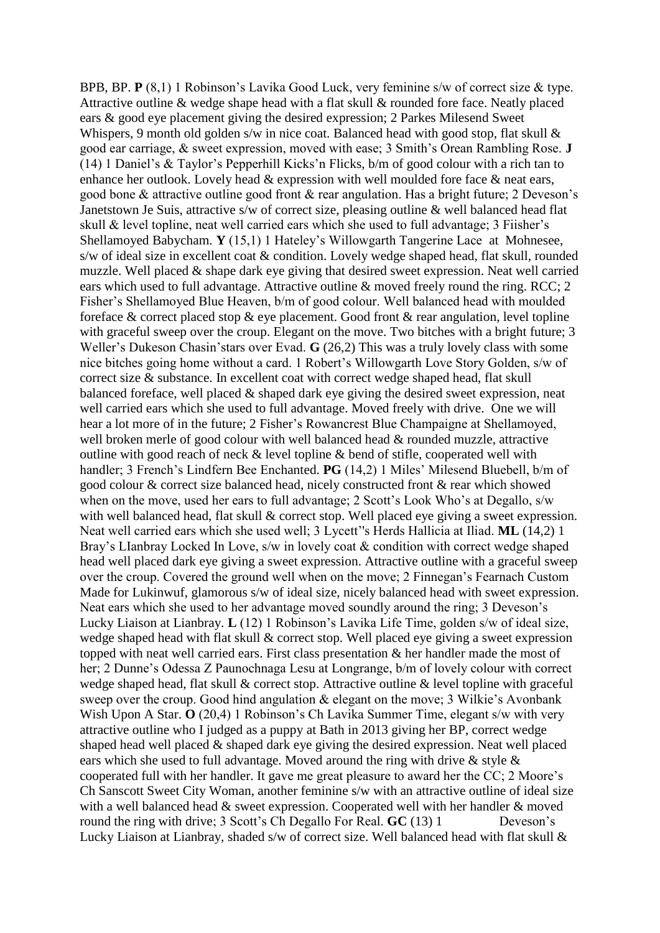BPB, BP. **P** (8,1) 1 Robinson's Lavika Good Luck, very feminine s/w of correct size & type. Attractive outline & wedge shape head with a flat skull & rounded fore face. Neatly placed ears & good eye placement giving the desired expression; 2 Parkes Milesend Sweet Whispers, 9 month old golden s/w in nice coat. Balanced head with good stop, flat skull & good ear carriage, & sweet expression, moved with ease; 3 Smith's Orean Rambling Rose. **J** (14) 1 Daniel's & Taylor's Pepperhill Kicks'n Flicks, b/m of good colour with a rich tan to enhance her outlook. Lovely head & expression with well moulded fore face & neat ears, good bone & attractive outline good front & rear angulation. Has a bright future; 2 Deveson's Janetstown Je Suis, attractive s/w of correct size, pleasing outline & well balanced head flat skull & level topline, neat well carried ears which she used to full advantage; 3 Fiisher's Shellamoyed Babycham. **Y** (15,1) 1 Hateley's Willowgarth Tangerine Lace at Mohnesee, s/w of ideal size in excellent coat & condition. Lovely wedge shaped head, flat skull, rounded muzzle. Well placed & shape dark eye giving that desired sweet expression. Neat well carried ears which used to full advantage. Attractive outline & moved freely round the ring. RCC; 2 Fisher's Shellamoyed Blue Heaven, b/m of good colour. Well balanced head with moulded foreface & correct placed stop & eye placement. Good front & rear angulation, level topline with graceful sweep over the croup. Elegant on the move. Two bitches with a bright future; 3 Weller's Dukeson Chasin'stars over Evad. **G** (26,2) This was a truly lovely class with some nice bitches going home without a card. 1 Robert's Willowgarth Love Story Golden, s/w of correct size & substance. In excellent coat with correct wedge shaped head, flat skull balanced foreface, well placed & shaped dark eye giving the desired sweet expression, neat well carried ears which she used to full advantage. Moved freely with drive. One we will hear a lot more of in the future; 2 Fisher's Rowancrest Blue Champaigne at Shellamoyed, well broken merle of good colour with well balanced head  $\&$  rounded muzzle, attractive outline with good reach of neck & level topline & bend of stifle, cooperated well with handler; 3 French's Lindfern Bee Enchanted. **PG** (14,2) 1 Miles' Milesend Bluebell, b/m of good colour & correct size balanced head, nicely constructed front & rear which showed when on the move, used her ears to full advantage; 2 Scott's Look Who's at Degallo, s/w with well balanced head, flat skull & correct stop. Well placed eye giving a sweet expression. Neat well carried ears which she used well; 3 Lycett''s Herds Hallicia at Iliad. **ML** (14,2) 1 Bray's LIanbray Locked In Love, s/w in lovely coat & condition with correct wedge shaped head well placed dark eye giving a sweet expression. Attractive outline with a graceful sweep over the croup. Covered the ground well when on the move; 2 Finnegan's Fearnach Custom Made for Lukinwuf, glamorous s/w of ideal size, nicely balanced head with sweet expression. Neat ears which she used to her advantage moved soundly around the ring; 3 Deveson's Lucky Liaison at Lianbray. **L** (12) 1 Robinson's Lavika Life Time, golden s/w of ideal size, wedge shaped head with flat skull & correct stop. Well placed eye giving a sweet expression topped with neat well carried ears. First class presentation & her handler made the most of her; 2 Dunne's Odessa Z Paunochnaga Lesu at Longrange, b/m of lovely colour with correct wedge shaped head, flat skull & correct stop. Attractive outline & level topline with graceful sweep over the croup. Good hind angulation & elegant on the move; 3 Wilkie's Avonbank Wish Upon A Star, **O** (20.4) 1 Robinson's Ch Lavika Summer Time, elegant s/w with very attractive outline who I judged as a puppy at Bath in 2013 giving her BP, correct wedge shaped head well placed & shaped dark eye giving the desired expression. Neat well placed ears which she used to full advantage. Moved around the ring with drive & style & cooperated full with her handler. It gave me great pleasure to award her the CC; 2 Moore's Ch Sanscott Sweet City Woman, another feminine s/w with an attractive outline of ideal size with a well balanced head  $\&$  sweet expression. Cooperated well with her handler  $\&$  moved round the ring with drive; 3 Scott's Ch Degallo For Real. **GC** (13) 1 Deveson's Lucky Liaison at Lianbray, shaded s/w of correct size. Well balanced head with flat skull &